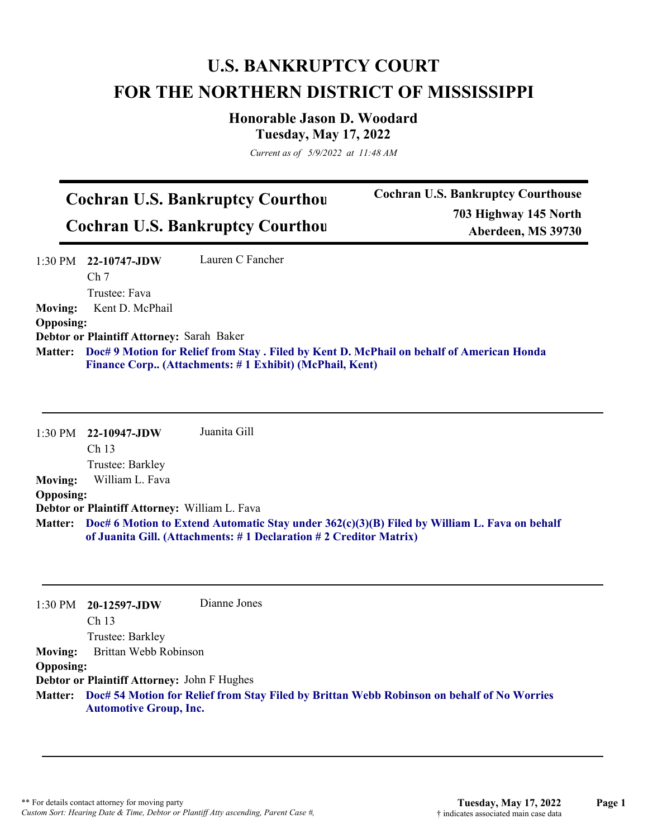## **U.S. BANKRUPTCY COURT FOR THE NORTHERN DISTRICT OF MISSISSIPPI**

**Honorable Jason D. Woodard Tuesday, May 17, 2022**

*Current as of 5/9/2022 at 11:48 AM*

## **Cochran U.S. Bankruptcy Courthou Cochran U.S. Bankruptcy Courthou**

**Cochran U.S. Bankruptcy Courthouse 703 Highway 145 North Aberdeen, MS 39730**

1:30 PM **22-10747-JDW**  Ch 7 Trustee: Fava Lauren C Fancher **Moving:** Kent D. McPhail **Opposing: Debtor or Plaintiff Attorney:** Sarah Baker **Doc# 9 Motion for Relief from Stay . Filed by Kent D. McPhail on behalf of American Honda Matter: Finance Corp.. (Attachments: # 1 Exhibit) (McPhail, Kent)**

1:30 PM **22-10947-JDW**  Ch 13 Trustee: Barkley Juanita Gill **Moving:** William L. Fava **Opposing: Debtor or Plaintiff Attorney:** William L. Fava **Doc# 6 Motion to Extend Automatic Stay under 362(c)(3)(B) Filed by William L. Fava on behalf Matter: of Juanita Gill. (Attachments: # 1 Declaration # 2 Creditor Matrix)**

| $1:30$ PM                                          | 20-12597-JDW                  | Dianne Jones                                                                                       |  |  |
|----------------------------------------------------|-------------------------------|----------------------------------------------------------------------------------------------------|--|--|
|                                                    | Ch <sub>13</sub>              |                                                                                                    |  |  |
|                                                    | Trustee: Barkley              |                                                                                                    |  |  |
| <b>Moving:</b>                                     | Brittan Webb Robinson         |                                                                                                    |  |  |
| <b>Opposing:</b>                                   |                               |                                                                                                    |  |  |
| <b>Debtor or Plaintiff Attorney: John F Hughes</b> |                               |                                                                                                    |  |  |
|                                                    | <b>Automotive Group, Inc.</b> | Matter: Doc# 54 Motion for Relief from Stay Filed by Brittan Webb Robinson on behalf of No Worries |  |  |